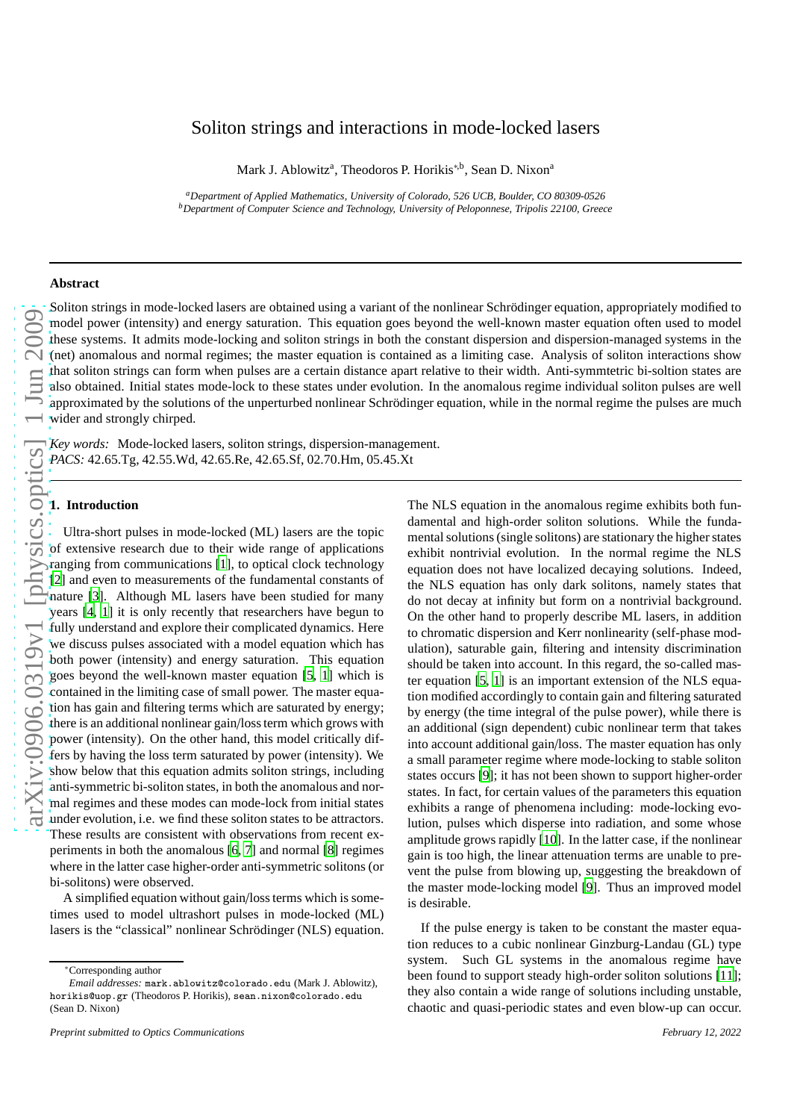# Soliton strings and interactions in mode-locked lasers

Mark J. Ablowitz<sup>a</sup>, Theodoros P. Horikis<sup>\*,b</sup>, Sean D. Nixon<sup>a</sup>

*<sup>a</sup>Department of Applied Mathematics, University of Colorado, 526 UCB, Boulder, CO 80309-0526 <sup>b</sup>Department of Computer Science and Technology, University of Peloponnese, Tripolis 22100, Greece*

## **Abstract**

Soliton strings in mode-locked lasers are obtained using a variant of the nonlinear Schrödinger equation, appropriately modified to model power (intensity) and energy saturation. This equation goes beyond the well-known master equation often used to model these systems. It admits mode-locking and soliton strings in both the constant dispersion and dispersion-managed systems in the (net) anomalous and normal regimes; the master equation is contained as a limiting case. Analysis of soliton interactions show that soliton strings can form when pulses are a certain distance apart relative to their width. Anti-symmtetric bi-soltion states are also obtained. Initial states mode-lock to these states under evolution. In the anomalous regime individual soliton pulses are well approximated by the solutions of the unperturbed nonlinear Schrödinger equation, while in the normal regime the pulses are much wider and strongly chirped.

*Key words:* Mode-locked lasers, soliton strings, dispersion-management. *PACS:* 42.65.Tg, 42.55.Wd, 42.65.Re, 42.65.Sf, 02.70.Hm, 05.45.Xt

## **1. Introduction**

Ultra-short pulses in mode-locked (ML) lasers are the topic of extensive research due to their wide range of applications ranging from communications [\[1](#page-9-0)], to optical clock technology [\[2\]](#page-9-1) and even to measurements of the fundamental constants of nature [\[3\]](#page-9-2). Although ML lasers have been studied for many years [\[4,](#page-9-3) [1\]](#page-9-0) it is only recently that researchers have begun to fully understand and explore their complicated dynamics. Here we discuss pulses associated with a model equation which has both power (intensity) and energy saturation. This equation goes beyond the well-known master equation [\[5,](#page-9-4) [1](#page-9-0)] which is contained in the limiting case of small power. The master equation has gain and filtering terms which are saturated by energy; there is an additional nonlinear gain/loss term which grows with power (intensity). On the other hand, this model critically differs by having the loss term saturated by power (intensity). We show below that this equation admits soliton strings, including anti-symmetric bi-soliton states, in both the anomalous and normal regimes and these modes can mode-lock from initial states under evolution, i.e. we find these soliton states to be attractors. These results are consistent with observations from recent experiments in both the anomalous [\[6](#page-9-5), [7](#page-9-6)] and normal [\[8](#page-9-7)] regimes where in the latter case higher-order anti-symmetric solitons (or bi-solitons) were observed.

A simplified equation without gain/loss terms which is sometimes used to model ultrashort pulses in mode-locked (ML) lasers is the "classical" nonlinear Schrödinger (NLS) equation. The NLS equation in the anomalous regime exhibits both fundamental and high-order soliton solutions. While the fundamental solutions (single solitons) are stationary the higher states exhibit nontrivial evolution. In the normal regime the NLS equation does not have localized decaying solutions. Indeed, the NLS equation has only dark solitons, namely states that do not decay at infinity but form on a nontrivial background. On the other hand to properly describe ML lasers, in addition to chromatic dispersion and Kerr nonlinearity (self-phase modulation), saturable gain, filtering and intensity discrimination should be taken into account. In this regard, the so-called master equation [\[5,](#page-9-4) [1](#page-9-0)] is an important extension of the NLS equation modified accordingly to contain gain and filtering saturated by energy (the time integral of the pulse power), while there is an additional (sign dependent) cubic nonlinear term that takes into account additional gain/loss. The master equation has only a small parameter regime where mode-locking to stable soliton states occurs [\[9](#page-9-8)]; it has not been shown to support higher-order states. In fact, for certain values of the parameters this equation exhibits a range of phenomena including: mode-locking evolution, pulses which disperse into radiation, and some whose amplitude grows rapidly [\[10\]](#page-9-9). In the latter case, if the nonlinear gain is too high, the linear attenuation terms are unable to prevent the pulse from blowing up, suggesting the breakdown of the master mode-locking model [\[9\]](#page-9-8). Thus an improved model is desirable.

If the pulse energy is taken to be constant the master equation reduces to a cubic nonlinear Ginzburg-Landau (GL) type system. Such GL systems in the anomalous regime have been found to support steady high-order soliton solutions [\[11\]](#page-9-10); they also contain a wide range of solutions including unstable, chaotic and quasi-periodic states and even blow-up can occur.

<sup>∗</sup>Corresponding author *Email addresses:* mark.ablowitz@colorado.edu (Mark J. Ablowitz), horikis@uop.gr (Theodoros P. Horikis), sean.nixon@colorado.edu (Sean D. Nixon)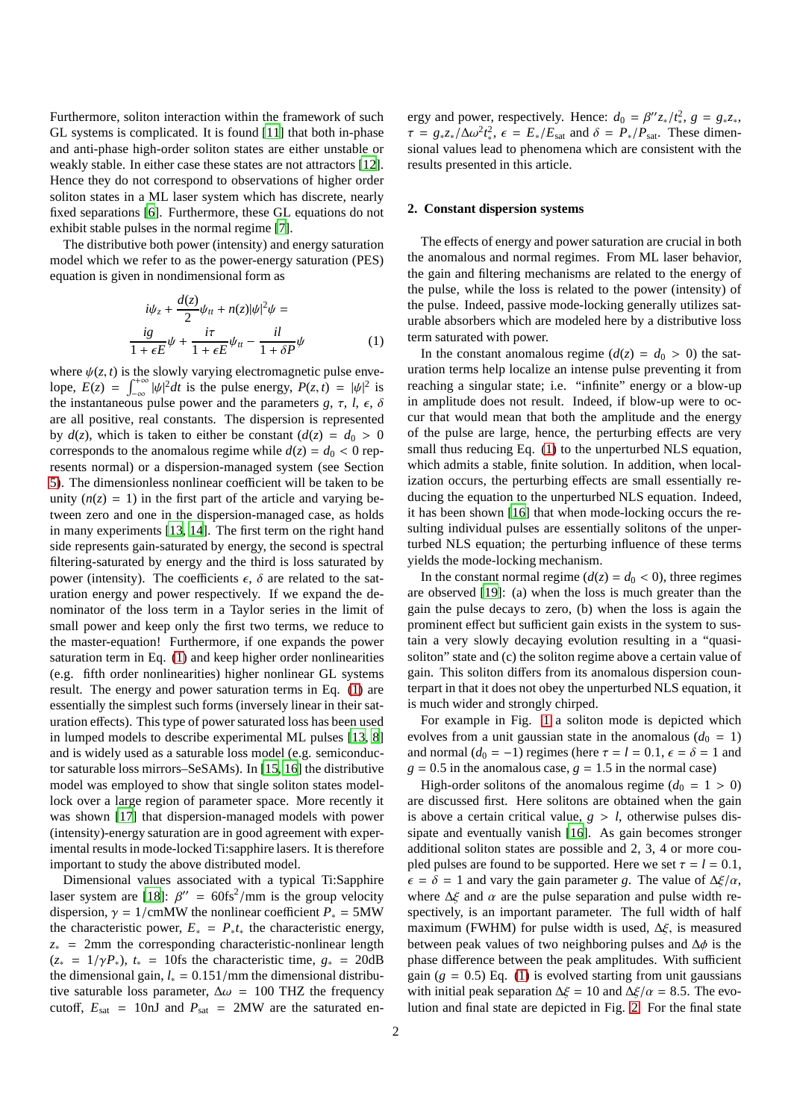Furthermore, soliton interaction within the framework of such GL systems is complicated. It is found [\[11\]](#page-9-10) that both in-phase and anti-phase high-order soliton states are either unstable or weakly stable. In either case these states are not attractors [\[12\]](#page-9-11). Hence they do not correspond to observations of higher order soliton states in a ML laser system which has discrete, nearly fixed separations [\[6\]](#page-9-5). Furthermore, these GL equations do not exhibit stable pulses in the normal regime [\[7\]](#page-9-6).

The distributive both power (intensity) and energy saturation model which we refer to as the power-energy saturation (PES) equation is given in nondimensional form as

$$
i\psi_z + \frac{d(z)}{2}\psi_{tt} + n(z)|\psi|^2 \psi =
$$
  

$$
\frac{ig}{1 + \epsilon E}\psi + \frac{i\tau}{1 + \epsilon E}\psi_{tt} - \frac{il}{1 + \delta P}\psi
$$
 (1)

where  $\psi(z, t)$  is the slowly varying electromagnetic pulse envelope,  $E(z) = \int_{-\infty}^{+\infty} |\psi|^2 dt$  is the pulse energy,  $P(z, t) = |\psi|^2$  is the instantaneous pulse power and the parameters  $g, \tau, l, \epsilon, \delta$ are all positive, real constants. The dispersion is represented by  $d(z)$ , which is taken to either be constant  $(d(z)) = d_0 > 0$ corresponds to the anomalous regime while  $d(z) = d_0 < 0$  represents normal) or a dispersion-managed system (see Section [5\)](#page-7-0). The dimensionless nonlinear coefficient will be taken to be unity  $(n(z) = 1)$  in the first part of the article and varying between zero and one in the dispersion-managed case, as holds in many experiments [\[13,](#page-9-12) [14\]](#page-9-13). The first term on the right hand side represents gain-saturated by energy, the second is spectral filtering-saturated by energy and the third is loss saturated by power (intensity). The coefficients  $\epsilon$ ,  $\delta$  are related to the saturation energy and power respectively. If we expand the denominator of the loss term in a Taylor series in the limit of small power and keep only the first two terms, we reduce to the master-equation! Furthermore, if one expands the power saturation term in Eq. [\(1\)](#page-1-0) and keep higher order nonlinearities (e.g. fifth order nonlinearities) higher nonlinear GL systems result. The energy and power saturation terms in Eq. [\(1\)](#page-1-0) are essentially the simplest such forms (inversely linear in their saturation effects). This type of power saturated loss has been used in lumped models to describe experimental ML pulses [\[13,](#page-9-12) [8](#page-9-7)] and is widely used as a saturable loss model (e.g. semiconductor saturable loss mirrors–SeSAMs). In [\[15](#page-9-14), [16\]](#page-9-15) the distributive model was employed to show that single soliton states modellock over a large region of parameter space. More recently it was shown [\[17\]](#page-9-16) that dispersion-managed models with power (intensity)-energy saturation are in good agreement with experimental results in mode-locked Ti:sapphire lasers. It is therefore important to study the above distributed model.

Dimensional values associated with a typical Ti:Sapphire laser system are [\[18\]](#page-9-17):  $\beta'' = 60 \text{fs}^2/\text{mm}$  is the group velocity dispersion,  $\gamma = 1$ /cmMW the nonlinear coefficient  $P_* = 5$ MW the characteristic power,  $E_* = P_* t_*$  the characteristic energy, *z*<sup>∗</sup> = 2mm the corresponding characteristic-nonlinear length  $(z<sub>*</sub> = 1/\gamma P<sub>*</sub>)$ ,  $t<sub>*</sub> = 10$ fs the characteristic time,  $g<sub>*</sub> = 20$ dB the dimensional gain,  $l_* = 0.151/\text{mm}$  the dimensional distributive saturable loss parameter,  $\Delta \omega = 100$  THZ the frequency cutoff,  $E_{\text{sat}}$  = 10nJ and  $P_{\text{sat}}$  = 2MW are the saturated en-

ergy and power, respectively. Hence:  $d_0 = \beta'' z_*/t_*^2$ ,  $g = g_* z_*$ ,  $\tau = g_* z_* / \Delta \omega^2 t_*^2$ ,  $\epsilon = E_* / E_{\text{sat}}$  and  $\delta = P_* / P_{\text{sat}}$ . These dimensional values lead to phenomena which are consistent with the results presented in this article.

## **2. Constant dispersion systems**

The effects of energy and power saturation are crucial in both the anomalous and normal regimes. From ML laser behavior, the gain and filtering mechanisms are related to the energy of the pulse, while the loss is related to the power (intensity) of the pulse. Indeed, passive mode-locking generally utilizes saturable absorbers which are modeled here by a distributive loss term saturated with power.

<span id="page-1-0"></span>In the constant anomalous regime  $(d(z) = d_0 > 0)$  the saturation terms help localize an intense pulse preventing it from reaching a singular state; i.e. "infinite" energy or a blow-up in amplitude does not result. Indeed, if blow-up were to occur that would mean that both the amplitude and the energy of the pulse are large, hence, the perturbing effects are very small thus reducing Eq. [\(1\)](#page-1-0) to the unperturbed NLS equation, which admits a stable, finite solution. In addition, when localization occurs, the perturbing effects are small essentially reducing the equation to the unperturbed NLS equation. Indeed, it has been shown [\[16](#page-9-15)] that when mode-locking occurs the resulting individual pulses are essentially solitons of the unperturbed NLS equation; the perturbing influence of these terms yields the mode-locking mechanism.

In the constant normal regime  $(d(z) = d_0 < 0)$ , three regimes are observed [\[19\]](#page-9-18): (a) when the loss is much greater than the gain the pulse decays to zero, (b) when the loss is again the prominent effect but sufficient gain exists in the system to sustain a very slowly decaying evolution resulting in a "quasisoliton" state and (c) the soliton regime above a certain value of gain. This soliton differs from its anomalous dispersion counterpart in that it does not obey the unperturbed NLS equation, it is much wider and strongly chirped.

For example in Fig. [1](#page-2-0) a soliton mode is depicted which evolves from a unit gaussian state in the anomalous  $(d_0 = 1)$ and normal  $(d_0 = -1)$  regimes (here  $\tau = l = 0.1$ ,  $\epsilon = \delta = 1$  and  $g = 0.5$  in the anomalous case,  $g = 1.5$  in the normal case)

High-order solitons of the anomalous regime  $(d_0 = 1 > 0)$ are discussed first. Here solitons are obtained when the gain is above a certain critical value,  $g > l$ , otherwise pulses dissipate and eventually vanish [\[16\]](#page-9-15). As gain becomes stronger additional soliton states are possible and 2, 3, 4 or more coupled pulses are found to be supported. Here we set  $\tau = l = 0.1$ ,  $\epsilon = \delta = 1$  and vary the gain parameter *g*. The value of  $\Delta \xi / \alpha$ , where  $\Delta \xi$  and  $\alpha$  are the pulse separation and pulse width respectively, is an important parameter. The full width of half maximum (FWHM) for pulse width is used,  $\Delta \xi$ , is measured between peak values of two neighboring pulses and  $\Delta \phi$  is the phase difference between the peak amplitudes. With sufficient gain  $(g = 0.5)$  Eq. [\(1\)](#page-1-0) is evolved starting from unit gaussians with initial peak separation  $\Delta \xi = 10$  and  $\Delta \xi / \alpha = 8.5$ . The evolution and final state are depicted in Fig. [2.](#page-2-1) For the final state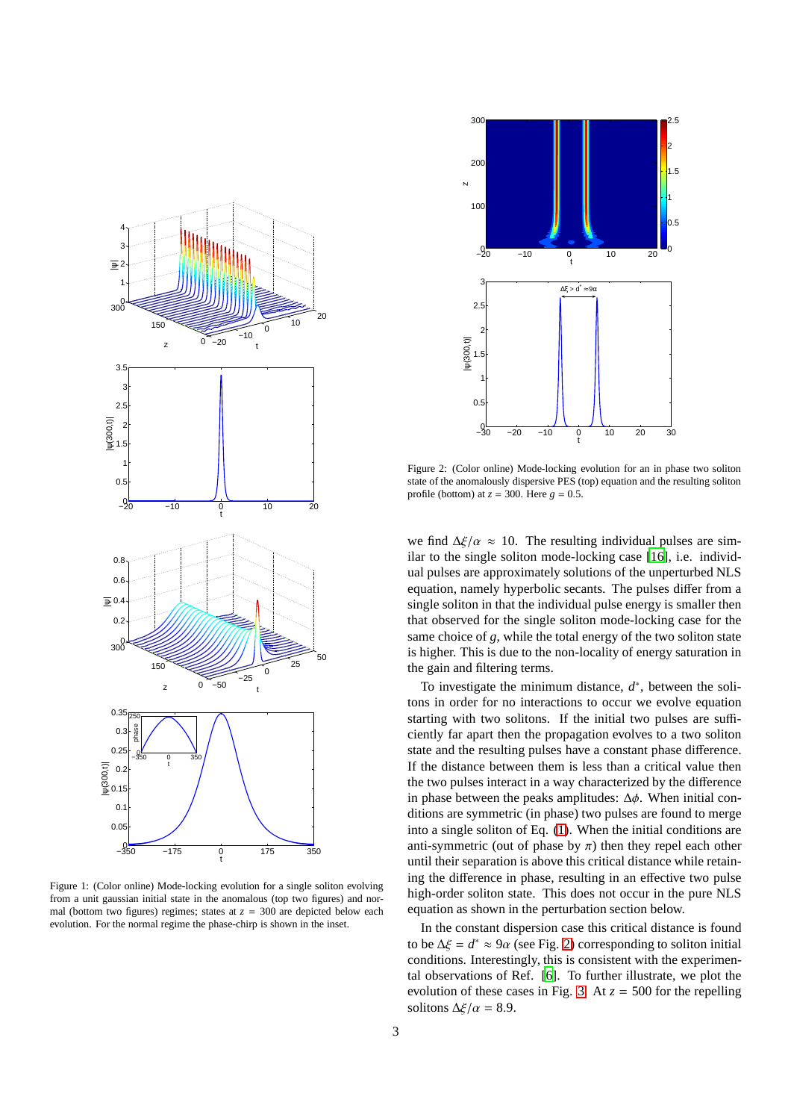

<span id="page-2-0"></span>Figure 1: (Color online) Mode-locking evolution for a single soliton evolving from a unit gaussian initial state in the anomalous (top two figures) and normal (bottom two figures) regimes; states at  $z = 300$  are depicted below each evolution. For the normal regime the phase-chirp is shown in the inset.



<span id="page-2-1"></span>Figure 2: (Color online) Mode-locking evolution for an in phase two soliton state of the anomalously dispersive PES (top) equation and the resulting soliton profile (bottom) at  $z = 300$ . Here  $g = 0.5$ .

we find  $\Delta \xi/\alpha \approx 10$ . The resulting individual pulses are similar to the single soliton mode-locking case [\[16\]](#page-9-15), i.e. individual pulses are approximately solutions of the unperturbed NLS equation, namely hyperbolic secants. The pulses differ from a single soliton in that the individual pulse energy is smaller then that observed for the single soliton mode-locking case for the same choice of *g*, while the total energy of the two soliton state is higher. This is due to the non-locality of energy saturation in the gain and filtering terms.

To investigate the minimum distance, *d* ∗ , between the solitons in order for no interactions to occur we evolve equation starting with two solitons. If the initial two pulses are sufficiently far apart then the propagation evolves to a two soliton state and the resulting pulses have a constant phase difference. If the distance between them is less than a critical value then the two pulses interact in a way characterized by the difference in phase between the peaks amplitudes:  $\Delta \phi$ . When initial conditions are symmetric (in phase) two pulses are found to merge into a single soliton of Eq. [\(1\)](#page-1-0). When the initial conditions are anti-symmetric (out of phase by  $\pi$ ) then they repel each other until their separation is above this critical distance while retaining the difference in phase, resulting in an effective two pulse high-order soliton state. This does not occur in the pure NLS equation as shown in the perturbation section below.

In the constant dispersion case this critical distance is found to be  $\Delta \xi = d^* \approx 9\alpha$  (see Fig. [2\)](#page-2-1) corresponding to soliton initial conditions. Interestingly, this is consistent with the experimental observations of Ref. [\[6\]](#page-9-5). To further illustrate, we plot the evolution of these cases in Fig. [3.](#page-3-0) At *z* = 500 for the repelling solitons  $\Delta \xi/\alpha = 8.9$ .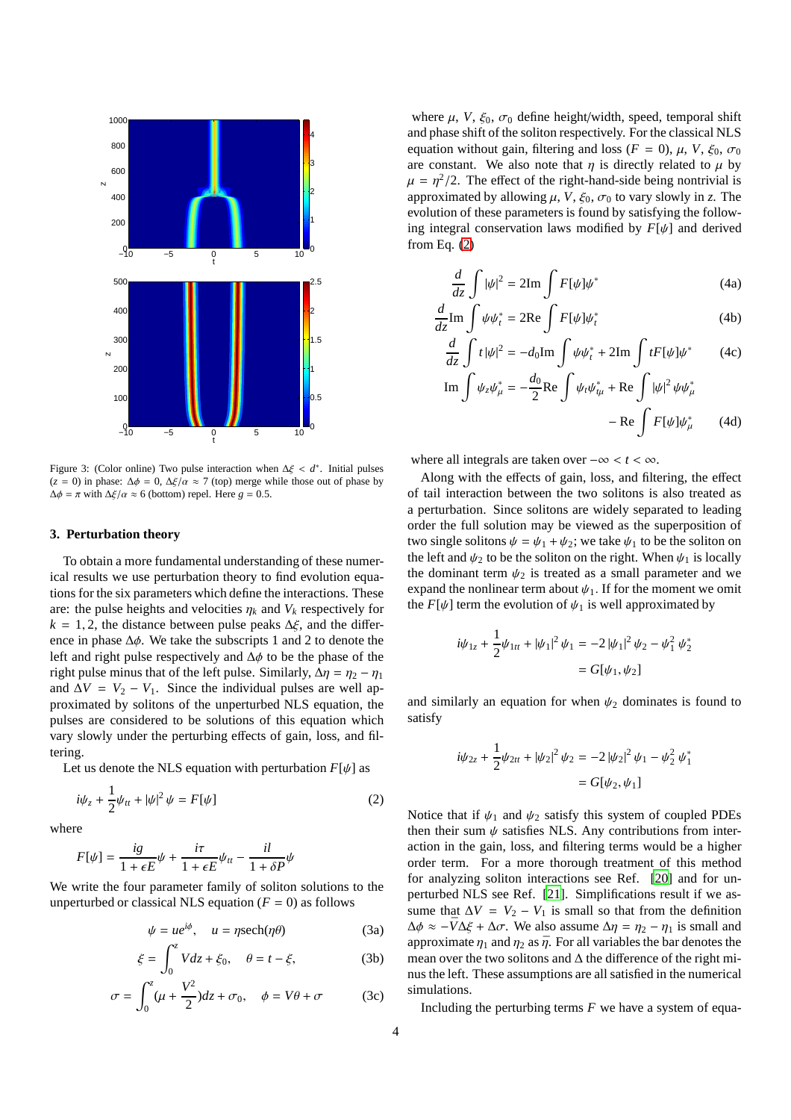

<span id="page-3-0"></span>Figure 3: (Color online) Two pulse interaction when ∆ξ < *d* ∗ . Initial pulses (*z* = 0) in phase: ∆φ = 0, ∆ξ/α ≈ 7 (top) merge while those out of phase by  $\Delta \phi = \pi$  with  $\Delta \xi / \alpha \approx 6$  (bottom) repel. Here *g* = 0.5.

#### **3. Perturbation theory**

To obtain a more fundamental understanding of these numerical results we use perturbation theory to find evolution equations for the six parameters which define the interactions. These are: the pulse heights and velocities  $\eta_k$  and  $V_k$  respectively for  $k = 1, 2$ , the distance between pulse peaks  $\Delta \xi$ , and the difference in phase  $\Delta \phi$ . We take the subscripts 1 and 2 to denote the left and right pulse respectively and ∆φ to be the phase of the right pulse minus that of the left pulse. Similarly,  $\Delta \eta = \eta_2 - \eta_1$ and  $\Delta V = V_2 - V_1$ . Since the individual pulses are well approximated by solitons of the unperturbed NLS equation, the pulses are considered to be solutions of this equation which vary slowly under the perturbing effects of gain, loss, and filtering.

Let us denote the NLS equation with perturbation  $F[\psi]$  as

<span id="page-3-1"></span>
$$
i\psi_z + \frac{1}{2}\psi_{tt} + |\psi|^2 \psi = F[\psi]
$$
 (2)

where

$$
F[\psi] = \frac{ig}{1 + \epsilon E} \psi + \frac{i\tau}{1 + \epsilon E} \psi_{tt} - \frac{il}{1 + \delta P} \psi_{tt}
$$

We write the four parameter family of soliton solutions to the unperturbed or classical NLS equation  $(F = 0)$  as follows

$$
\psi = u e^{i\phi}, \quad u = \eta \text{sech}(\eta \theta) \tag{3a}
$$

$$
\xi = \int_0^z V dz + \xi_0, \quad \theta = t - \xi,
$$
 (3b)

$$
\sigma = \int_0^z (\mu + \frac{V^2}{2}) dz + \sigma_0, \quad \phi = V\theta + \sigma \tag{3c}
$$

where  $\mu$ , *V*,  $\xi_0$ ,  $\sigma_0$  define height/width, speed, temporal shift and phase shift of the soliton respectively. For the classical NLS equation without gain, filtering and loss ( $F = 0$ ),  $\mu$ ,  $V$ ,  $\xi_0$ ,  $\sigma_0$ are constant. We also note that  $\eta$  is directly related to  $\mu$  by  $\mu = \eta^2/2$ . The effect of the right-hand-side being nontrivial is approximated by allowing  $\mu$ ,  $V$ ,  $\xi_0$ ,  $\sigma_0$  to vary slowly in *z*. The evolution of these parameters is found by satisfying the following integral conservation laws modified by *F*[ψ] and derived from Eq.  $(2)$ 

$$
\frac{d}{dz}\int |\psi|^2 = 2\mathrm{Im}\int F[\psi]\psi^*
$$
\n(4a)

$$
\frac{d}{dz}\mathrm{Im}\int\psi\psi_t^* = 2\mathrm{Re}\int F[\psi]\psi_t^* \tag{4b}
$$

$$
\frac{d}{dz}\int t|\psi|^2 = -d_0\text{Im}\int \psi\psi_t^* + 2\text{Im}\int tF[\psi]\psi^* \qquad (4c)
$$

<span id="page-3-2"></span>
$$
\text{Im} \int \psi_z \psi_{\mu}^* = -\frac{d_0}{2} \text{Re} \int \psi_t \psi_{t\mu}^* + \text{Re} \int |\psi|^2 \psi \psi_{\mu}^* - \text{Re} \int F[\psi] \psi_{\mu}^* \tag{4d}
$$

where all integrals are taken over  $-\infty < t < \infty$ .

Along with the effects of gain, loss, and filtering, the effect of tail interaction between the two solitons is also treated as a perturbation. Since solitons are widely separated to leading order the full solution may be viewed as the superposition of two single solitons  $\psi = \psi_1 + \psi_2$ ; we take  $\psi_1$  to be the soliton on the left and  $\psi_2$  to be the soliton on the right. When  $\psi_1$  is locally the dominant term  $\psi_2$  is treated as a small parameter and we expand the nonlinear term about  $\psi_1$ . If for the moment we omit the  $F[\psi]$  term the evolution of  $\psi_1$  is well approximated by

$$
i\psi_{1z} + \frac{1}{2}\psi_{1tt} + |\psi_1|^2 \psi_1 = -2|\psi_1|^2 \psi_2 - \psi_1^2 \psi_2^*
$$
  
=  $G[\psi_1, \psi_2]$ 

and similarly an equation for when  $\psi_2$  dominates is found to satisfy

$$
i\psi_{2z} + \frac{1}{2}\psi_{2tt} + |\psi_2|^2 \psi_2 = -2|\psi_2|^2 \psi_1 - \psi_2^2 \psi_1^*
$$
  
=  $G[\psi_2, \psi_1]$ 

Notice that if  $\psi_1$  and  $\psi_2$  satisfy this system of coupled PDEs then their sum  $\psi$  satisfies NLS. Any contributions from interaction in the gain, loss, and filtering terms would be a higher order term. For a more thorough treatment of this method for analyzing soliton interactions see Ref. [\[20\]](#page-9-19) and for unperturbed NLS see Ref. [\[21\]](#page-9-20). Simplifications result if we assume that  $\Delta V = V_2 - V_1$  is small so that from the definition  $\Delta \phi \approx -\bar{V}\Delta \xi + \Delta \sigma$ . We also assume  $\Delta \eta = \eta_2 - \eta_1$  is small and approximate  $\eta_1$  and  $\eta_2$  as  $\bar{\eta}$ . For all variables the bar denotes the mean over the two solitons and ∆ the difference of the right minus the left. These assumptions are all satisfied in the numerical simulations.

<span id="page-3-3"></span>Including the perturbing terms *F* we have a system of equa-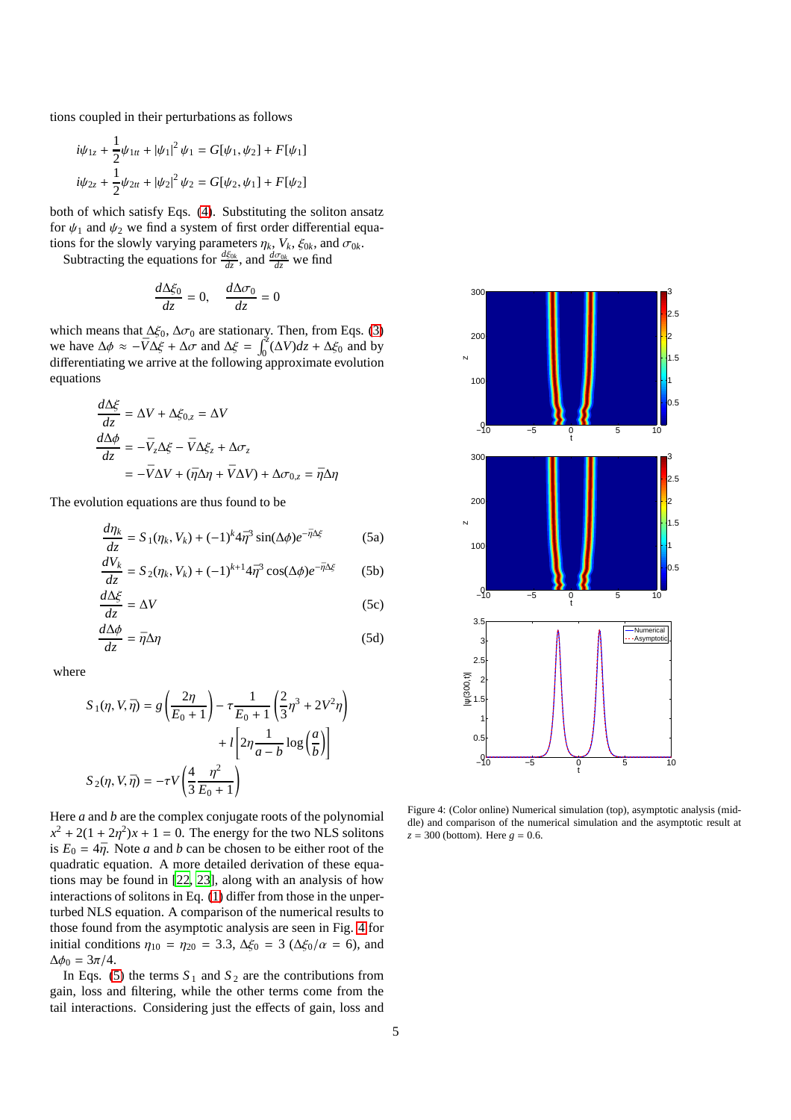tions coupled in their perturbations as follows

$$
i\psi_{1z} + \frac{1}{2}\psi_{1tt} + |\psi_1|^2 \psi_1 = G[\psi_1, \psi_2] + F[\psi_1]
$$
  

$$
i\psi_{2z} + \frac{1}{2}\psi_{2tt} + |\psi_2|^2 \psi_2 = G[\psi_2, \psi_1] + F[\psi_2]
$$

both of which satisfy Eqs. [\(4\)](#page-3-2). Substituting the soliton ansatz for  $\psi_1$  and  $\psi_2$  we find a system of first order differential equations for the slowly varying parameters  $\eta_k$ ,  $V_k$ ,  $\xi_{0k}$ , and  $\sigma_{0k}$ .

Subtracting the equations for  $\frac{d\xi_{0k}}{dz}$ , and  $\frac{d\sigma_{0k}}{dz}$  we find

$$
\frac{d\Delta \xi_0}{dz} = 0, \quad \frac{d\Delta \sigma_0}{dz} = 0
$$

which means that  $\Delta \xi_0$ ,  $\Delta \sigma_0$  are stationary. Then, from Eqs. [\(3\)](#page-3-3) we have  $\Delta \phi \approx -\bar{V}\Delta \xi + \Delta \sigma$  and  $\Delta \xi = \int_0^z (\Delta V) dz + \Delta \xi_0$  and by differentiating we arrive at the following approximate evolution equations

$$
\frac{d\Delta \xi}{dz} = \Delta V + \Delta \xi_{0,z} = \Delta V
$$
  
\n
$$
\frac{d\Delta \phi}{dz} = -\bar{V}_z \Delta \xi - \bar{V} \Delta \xi_z + \Delta \sigma_z
$$
  
\n
$$
= -\bar{V} \Delta V + (\bar{\eta} \Delta \eta + \bar{V} \Delta V) + \Delta \sigma_{0,z} = \bar{\eta} \Delta \eta
$$

The evolution equations are thus found to be

$$
\frac{d\eta_k}{dz} = S_1(\eta_k, V_k) + (-1)^k 4\bar{\eta}^3 \sin(\Delta\phi) e^{-\bar{\eta}\Delta\xi}
$$
 (5a)

$$
\frac{dV_k}{dz} = S_2(\eta_k, V_k) + (-1)^{k+1} 4\bar{\eta}^3 \cos(\Delta \phi) e^{-\bar{\eta} \Delta \xi}
$$
 (5b)

$$
\frac{d\Delta\xi}{dz} = \Delta V \tag{5c}
$$

$$
\frac{d\Delta\phi}{dz} = \bar{\eta}\Delta\eta\tag{5d}
$$

where

$$
S_1(\eta, V, \bar{\eta}) = g\left(\frac{2\eta}{E_0 + 1}\right) - \tau \frac{1}{E_0 + 1} \left(\frac{2}{3}\eta^3 + 2V^2\eta\right) + l\left[2\eta \frac{1}{a - b}\log\left(\frac{a}{b}\right)\right]
$$

$$
S_2(\eta, V, \bar{\eta}) = -\tau V\left(\frac{4}{3}\frac{\eta^2}{E_0 + 1}\right)
$$

Here *a* and *b* are the complex conjugate roots of the polynomial  $x^2 + 2(1 + 2\eta^2)x + 1 = 0$ . The energy for the two NLS solitons is  $E_0 = 4\bar{\eta}$ . Note *a* and *b* can be chosen to be either root of the quadratic equation. A more detailed derivation of these equations may be found in [\[22,](#page-9-21) [23](#page-9-22)], along with an analysis of how interactions of solitons in Eq. [\(1\)](#page-1-0) differ from those in the unperturbed NLS equation. A comparison of the numerical results to those found from the asymptotic analysis are seen in Fig. [4](#page-4-0) for initial conditions  $η_{10} = η_{20} = 3.3$ ,  $Δξ_0 = 3 (Δξ_0/α = 6)$ , and  $\Delta\phi_0 = 3\pi/4.$ 

In Eqs. [\(5\)](#page-4-1) the terms  $S_1$  and  $S_2$  are the contributions from gain, loss and filtering, while the other terms come from the tail interactions. Considering just the effects of gain, loss and



<span id="page-4-1"></span><span id="page-4-0"></span>Figure 4: (Color online) Numerical simulation (top), asymptotic analysis (middle) and comparison of the numerical simulation and the asymptotic result at *z* = 300 (bottom). Here *g* = 0.6.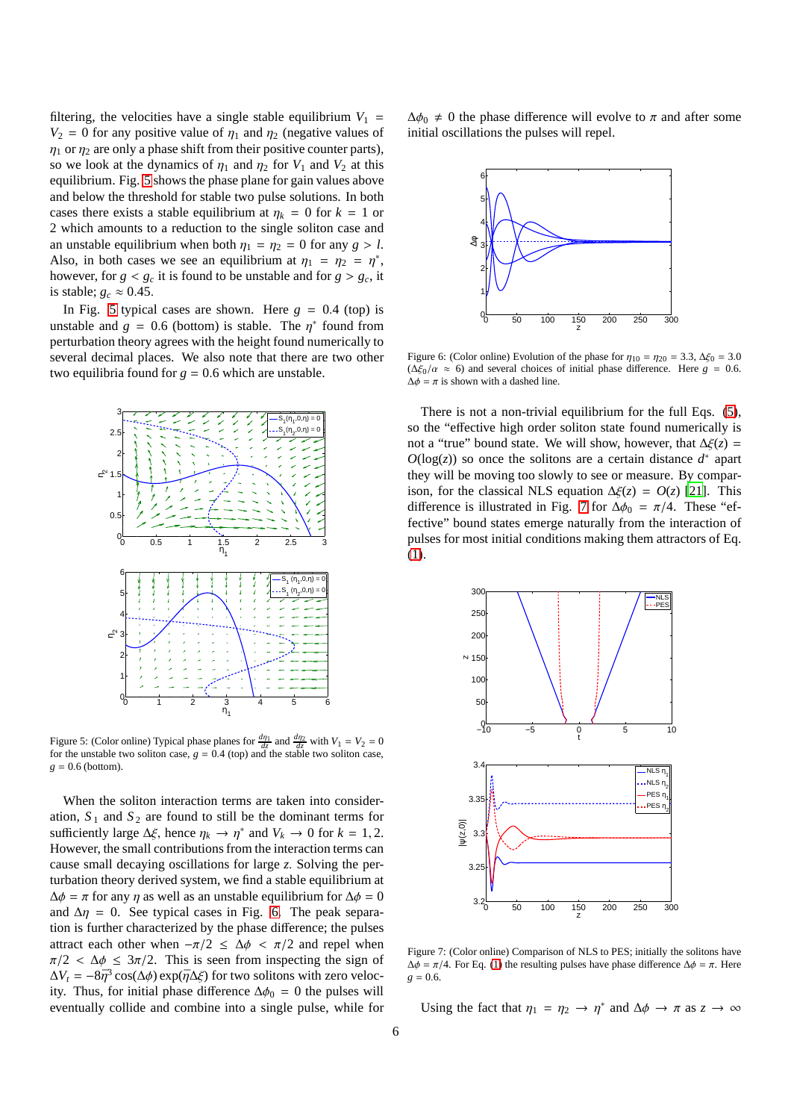filtering, the velocities have a single stable equilibrium  $V_1$  =  $V_2 = 0$  for any positive value of  $\eta_1$  and  $\eta_2$  (negative values of  $\eta_1$  or  $\eta_2$  are only a phase shift from their positive counter parts), so we look at the dynamics of  $\eta_1$  and  $\eta_2$  for  $V_1$  and  $V_2$  at this equilibrium. Fig. [5](#page-5-0) shows the phase plane for gain values above and below the threshold for stable two pulse solutions. In both cases there exists a stable equilibrium at  $\eta_k = 0$  for  $k = 1$  or 2 which amounts to a reduction to the single soliton case and an unstable equilibrium when both  $\eta_1 = \eta_2 = 0$  for any  $g > l$ . Also, in both cases we see an equilibrium at  $\eta_1 = \eta_2 = \eta^*$ , however, for  $g < g_c$  it is found to be unstable and for  $g > g_c$ , it is stable;  $g_c \approx 0.45$ .

In Fig. [5](#page-5-0) typical cases are shown. Here  $g = 0.4$  (top) is unstable and  $g = 0.6$  (bottom) is stable. The  $\eta^*$  found from perturbation theory agrees with the height found numerically to several decimal places. We also note that there are two other two equilibria found for  $g = 0.6$  which are unstable.



<span id="page-5-0"></span>Figure 5: (Color online) Typical phase planes for  $\frac{d\eta_1}{dz}$  and  $\frac{d\eta_2}{dz}$  with  $V_1 = V_2 = 0$ for the unstable two soliton case,  $g = 0.4$  (top) and the stable two soliton case,  $g = 0.6$  (bottom).

When the soliton interaction terms are taken into consideration,  $S_1$  and  $S_2$  are found to still be the dominant terms for sufficiently large  $\Delta \xi$ , hence  $\eta_k \to \eta^*$  and  $V_k \to 0$  for  $k = 1, 2$ . However, the small contributions from the interaction terms can cause small decaying oscillations for large *z*. Solving the perturbation theory derived system, we find a stable equilibrium at  $\Delta \phi = \pi$  for any  $\eta$  as well as an unstable equilibrium for  $\Delta \phi = 0$ and  $\Delta \eta = 0$ . See typical cases in Fig. [6.](#page-5-1) The peak separation is further characterized by the phase difference; the pulses attract each other when  $-\pi/2 \leq \Delta\phi < \pi/2$  and repel when  $\pi/2 < \Delta \phi \leq 3\pi/2$ . This is seen from inspecting the sign of  $\Delta V_t = -8\bar{\eta}^3 \cos(\Delta \phi) \exp(\bar{\eta} \Delta \xi)$  for two solitons with zero velocity. Thus, for initial phase difference  $\Delta\phi_0 = 0$  the pulses will eventually collide and combine into a single pulse, while for

 $\Delta\phi_0 \neq 0$  the phase difference will evolve to  $\pi$  and after some initial oscillations the pulses will repel.



<span id="page-5-1"></span>Figure 6: (Color online) Evolution of the phase for  $\eta_{10} = \eta_{20} = 3.3$ ,  $\Delta \xi_0 = 3.0$  $(\Delta \xi_0/\alpha \approx 6)$  and several choices of initial phase difference. Here *g* = 0.6.  $\Delta \phi = \pi$  is shown with a dashed line.

There is not a non-trivial equilibrium for the full Eqs. [\(5\)](#page-4-1), so the "effective high order soliton state found numerically is not a "true" bound state. We will show, however, that  $\Delta \xi(z)$  =  $O(\log(z))$  so once the solitons are a certain distance  $d^*$  apart they will be moving too slowly to see or measure. By comparison, for the classical NLS equation  $\Delta \xi(z) = O(z)$  [\[21](#page-9-20)]. This difference is illustrated in Fig. [7](#page-5-2) for  $\Delta\phi_0 = \pi/4$ . These "effective" bound states emerge naturally from the interaction of pulses for most initial conditions making them attractors of Eq. [\(1\)](#page-1-0).



<span id="page-5-2"></span>Figure 7: (Color online) Comparison of NLS to PES; initially the solitons have  $\Delta \phi = \pi/4$ . For Eq. [\(1\)](#page-1-0) the resulting pulses have phase difference  $\Delta \phi = \pi$ . Here  $g = 0.6$ .

Using the fact that  $\eta_1 = \eta_2 \to \eta^*$  and  $\Delta \phi \to \pi$  as  $z \to \infty$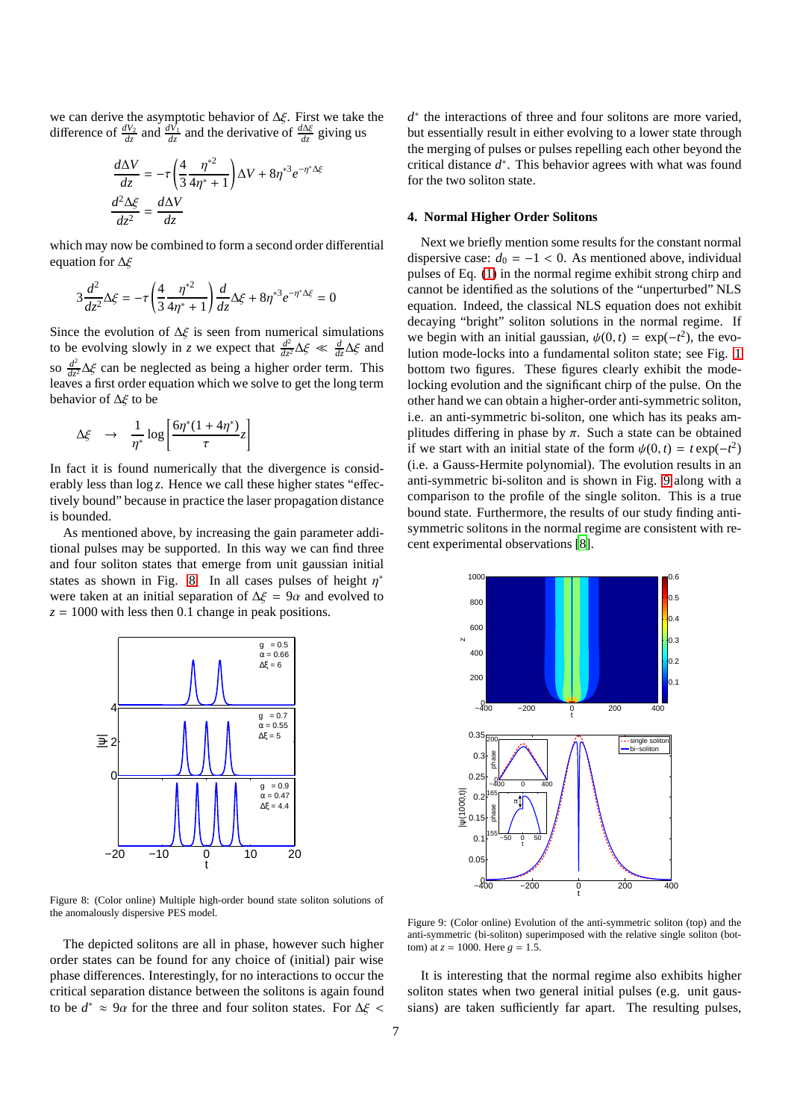we can derive the asymptotic behavior of ∆ξ. First we take the difference of  $\frac{dV_2}{dz}$  and  $\frac{dV_1}{dz}$  and the derivative of  $\frac{d\Delta \xi}{dz}$  giving us

$$
\frac{d\Delta V}{dz} = -\tau \left(\frac{4}{3} \frac{\eta^{*2}}{4\eta^{*} + 1}\right) \Delta V + 8\eta^{*3} e^{-\eta^{*}\Delta\xi}
$$

$$
\frac{d^{2}\Delta\xi}{dz^{2}} = \frac{d\Delta V}{dz}
$$

which may now be combined to form a second order differential equation for ∆ξ

$$
3\frac{d^2}{dz^2}\Delta \xi = -\tau \left(\frac{4}{3}\frac{\eta^{*2}}{4\eta^{*}+1}\right)\frac{d}{dz}\Delta \xi + 8\eta^{*3}e^{-\eta^{*}\Delta \xi} = 0
$$

Since the evolution of  $\Delta \xi$  is seen from numerical simulations to be evolving slowly in *z* we expect that  $\frac{d^2}{dz^2} \Delta \xi \ll \frac{d}{dz} \Delta \xi$  and so  $\frac{d^2}{dz^2}$ Δξ can be neglected as being a higher order term. This leaves a first order equation which we solve to get the long term behavior of ∆ξ to be

$$
\Delta \xi \rightarrow \frac{1}{\eta^*} \log \left[ \frac{6\eta^*(1+4\eta^*)}{\tau} z \right]
$$

In fact it is found numerically that the divergence is considerably less than log *z*. Hence we call these higher states "effectively bound" because in practice the laser propagation distance is bounded.

As mentioned above, by increasing the gain parameter additional pulses may be supported. In this way we can find three and four soliton states that emerge from unit gaussian initial states as shown in Fig. [8.](#page-6-0) In all cases pulses of height  $\eta^*$ were taken at an initial separation of  $\Delta \xi = 9\alpha$  and evolved to  $z = 1000$  with less then 0.1 change in peak positions.



<span id="page-6-0"></span>Figure 8: (Color online) Multiple high-order bound state soliton solutions of the anomalously dispersive PES model.

The depicted solitons are all in phase, however such higher order states can be found for any choice of (initial) pair wise phase differences. Interestingly, for no interactions to occur the critical separation distance between the solitons is again found to be  $d^* \approx 9\alpha$  for the three and four soliton states. For  $\Delta \xi$  <

*d*<sup>∗</sup> the interactions of three and four solitons are more varied, but essentially result in either evolving to a lower state through the merging of pulses or pulses repelling each other beyond the critical distance *d* ∗ . This behavior agrees with what was found for the two soliton state.

#### **4. Normal Higher Order Solitons**

Next we briefly mention some results for the constant normal dispersive case:  $d_0 = -1 < 0$ . As mentioned above, individual pulses of Eq. [\(1\)](#page-1-0) in the normal regime exhibit strong chirp and cannot be identified as the solutions of the "unperturbed" NLS equation. Indeed, the classical NLS equation does not exhibit decaying "bright" soliton solutions in the normal regime. If we begin with an initial gaussian,  $\psi(0, t) = \exp(-t^2)$ , the evolution mode-locks into a fundamental soliton state; see Fig. [1](#page-2-0) bottom two figures. These figures clearly exhibit the modelocking evolution and the significant chirp of the pulse. On the other hand we can obtain a higher-order anti-symmetric soliton, i.e. an anti-symmetric bi-soliton, one which has its peaks amplitudes differing in phase by  $\pi$ . Such a state can be obtained if we start with an initial state of the form  $\psi(0, t) = t \exp(-t^2)$ (i.e. a Gauss-Hermite polynomial). The evolution results in an anti-symmetric bi-soliton and is shown in Fig. [9](#page-6-1) along with a comparison to the profile of the single soliton. This is a true bound state. Furthermore, the results of our study finding antisymmetric solitons in the normal regime are consistent with recent experimental observations [\[8](#page-9-7)].



<span id="page-6-1"></span>Figure 9: (Color online) Evolution of the anti-symmetric soliton (top) and the anti-symmetric (bi-soliton) superimposed with the relative single soliton (bottom) at  $z = 1000$ . Here  $g = 1.5$ .

It is interesting that the normal regime also exhibits higher soliton states when two general initial pulses (e.g. unit gaussians) are taken sufficiently far apart. The resulting pulses,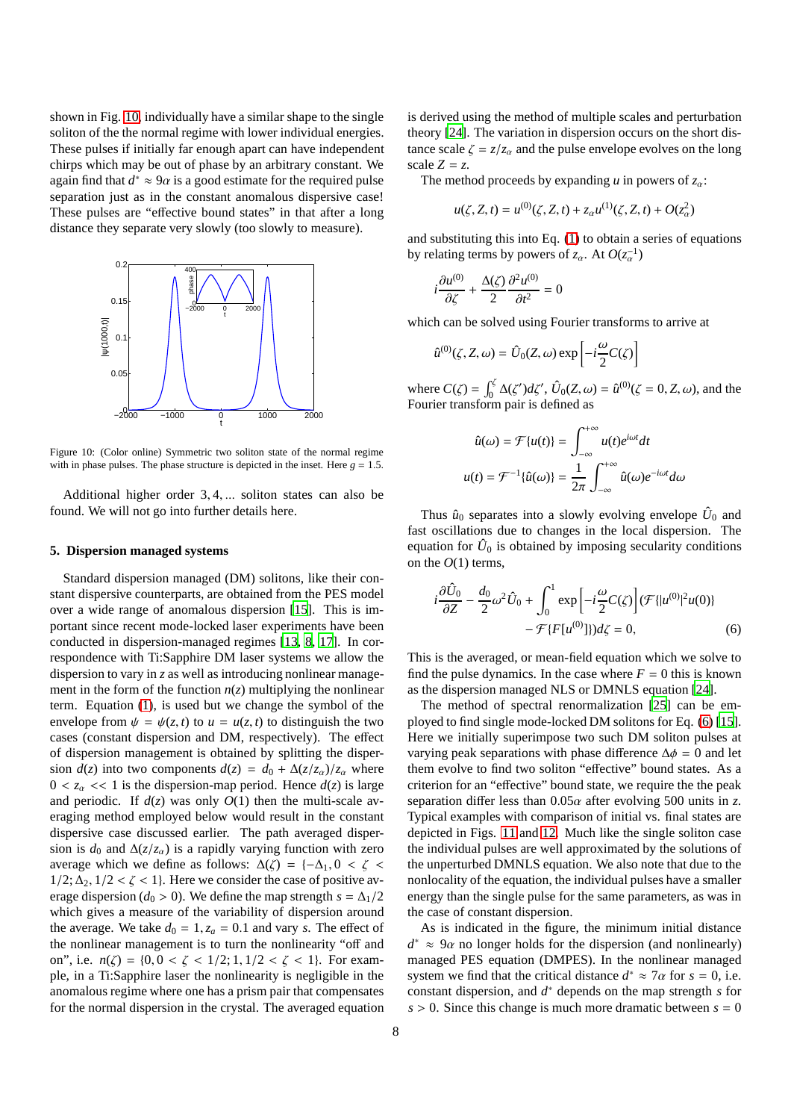shown in Fig. [10,](#page-7-1) individually have a similar shape to the single soliton of the the normal regime with lower individual energies. These pulses if initially far enough apart can have independent chirps which may be out of phase by an arbitrary constant. We again find that  $d^* \approx 9\alpha$  is a good estimate for the required pulse separation just as in the constant anomalous dispersive case! These pulses are "effective bound states" in that after a long distance they separate very slowly (too slowly to measure).



<span id="page-7-1"></span>Figure 10: (Color online) Symmetric two soliton state of the normal regime with in phase pulses. The phase structure is depicted in the inset. Here  $g = 1.5$ .

Additional higher order 3, 4, ... soliton states can also be found. We will not go into further details here.

## <span id="page-7-0"></span>**5. Dispersion managed systems**

Standard dispersion managed (DM) solitons, like their constant dispersive counterparts, are obtained from the PES model over a wide range of anomalous dispersion [\[15](#page-9-14)]. This is important since recent mode-locked laser experiments have been conducted in dispersion-managed regimes [\[13,](#page-9-12) [8,](#page-9-7) [17\]](#page-9-16). In correspondence with Ti:Sapphire DM laser systems we allow the dispersion to vary in *z* as well as introducing nonlinear management in the form of the function  $n(z)$  multiplying the nonlinear term. Equation [\(1\)](#page-1-0), is used but we change the symbol of the envelope from  $\psi = \psi(z, t)$  to  $u = u(z, t)$  to distinguish the two cases (constant dispersion and DM, respectively). The effect of dispersion management is obtained by splitting the dispersion  $d(z)$  into two components  $d(z) = d_0 + \Delta(z/z_\alpha)/z_\alpha$  where  $0 < z_\alpha \ll 1$  is the dispersion-map period. Hence  $d(z)$  is large and periodic. If  $d(z)$  was only  $O(1)$  then the multi-scale averaging method employed below would result in the constant dispersive case discussed earlier. The path averaged dispersion is  $d_0$  and  $\Delta(z/z_\alpha)$  is a rapidly varying function with zero average which we define as follows:  $\Delta(\zeta) = \{-\Delta_1, 0 \leq \zeta \leq \zeta\}$  $1/2$ ;  $\Delta_2$ ,  $1/2 < \zeta < 1$ }. Here we consider the case of positive average dispersion ( $d_0 > 0$ ). We define the map strength  $s = \Delta_1/2$ which gives a measure of the variability of dispersion around the average. We take  $d_0 = 1$ ,  $z_a = 0.1$  and vary *s*. The effect of the nonlinear management is to turn the nonlinearity "off and on", i.e.  $n(\zeta) = \{0, 0 < \zeta < 1/2; 1, 1/2 < \zeta < 1\}$ . For example, in a Ti:Sapphire laser the nonlinearity is negligible in the anomalous regime where one has a prism pair that compensates for the normal dispersion in the crystal. The averaged equation is derived using the method of multiple scales and perturbation theory [\[24\]](#page-9-23). The variation in dispersion occurs on the short distance scale  $\zeta = z/z_\alpha$  and the pulse envelope evolves on the long scale  $Z = z$ .

The method proceeds by expanding *u* in powers of  $z_\alpha$ :

$$
u(\zeta, Z, t) = u^{(0)}(\zeta, Z, t) + z_{\alpha}u^{(1)}(\zeta, Z, t) + O(z_{\alpha}^{2})
$$

and substituting this into Eq. [\(1\)](#page-1-0) to obtain a series of equations by relating terms by powers of  $z_\alpha$ . At  $O(z_\alpha^{-1})$ 

$$
i\frac{\partial u^{(0)}}{\partial \zeta} + \frac{\Delta(\zeta)}{2} \frac{\partial^2 u^{(0)}}{\partial t^2} = 0
$$

which can be solved using Fourier transforms to arrive at

$$
\hat{u}^{(0)}(\zeta, Z, \omega) = \hat{U}_0(Z, \omega) \exp\left[-i\frac{\omega}{2}C(\zeta)\right]
$$

where  $C(\zeta) = \int_0^{\zeta} \Delta(\zeta') d\zeta', \ \hat{U}_0(Z, \omega) = \hat{u}^{(0)}(\zeta = 0, Z, \omega)$ , and the Fourier transform pair is defined as

$$
\hat{u}(\omega) = \mathcal{F}\{u(t)\} = \int_{-\infty}^{+\infty} u(t)e^{i\omega t}dt
$$

$$
u(t) = \mathcal{F}^{-1}\{\hat{u}(\omega)\} = \frac{1}{2\pi} \int_{-\infty}^{+\infty} \hat{u}(\omega)e^{-i\omega t}d\omega
$$

Thus  $\hat{u}_0$  separates into a slowly evolving envelope  $\hat{U}_0$  and fast oscillations due to changes in the local dispersion. The equation for  $\hat{U}_0$  is obtained by imposing secularity conditions on the  $O(1)$  terms.

<span id="page-7-2"></span>
$$
i\frac{\partial \hat{U}_0}{\partial Z} - \frac{d_0}{2}\omega^2 \hat{U}_0 + \int_0^1 \exp\left[-i\frac{\omega}{2}C(\zeta)\right] (\mathcal{F}\{|u^{(0)}|^2 u(0)\} - \mathcal{F}\{F[u^{(0)}]\}d\zeta = 0, \tag{6}
$$

This is the averaged, or mean-field equation which we solve to find the pulse dynamics. In the case where  $F = 0$  this is known as the dispersion managed NLS or DMNLS equation [\[24\]](#page-9-23).

The method of spectral renormalization [\[25](#page-9-24)] can be employed to find single mode-locked DM solitons for Eq. [\(6\)](#page-7-2) [\[15\]](#page-9-14). Here we initially superimpose two such DM soliton pulses at varying peak separations with phase difference  $\Delta \phi = 0$  and let them evolve to find two soliton "effective" bound states. As a criterion for an "effective" bound state, we require the the peak separation differ less than  $0.05\alpha$  after evolving 500 units in *z*. Typical examples with comparison of initial vs. final states are depicted in Figs. [11](#page-8-0) and [12.](#page-8-1) Much like the single soliton case the individual pulses are well approximated by the solutions of the unperturbed DMNLS equation. We also note that due to the nonlocality of the equation, the individual pulses have a smaller energy than the single pulse for the same parameters, as was in the case of constant dispersion.

As is indicated in the figure, the minimum initial distance  $d^* \approx 9\alpha$  no longer holds for the dispersion (and nonlinearly) managed PES equation (DMPES). In the nonlinear managed system we find that the critical distance  $d^* \approx 7\alpha$  for  $s = 0$ , i.e. constant dispersion, and *d* <sup>∗</sup> depends on the map strength *s* for  $s > 0$ . Since this change is much more dramatic between  $s = 0$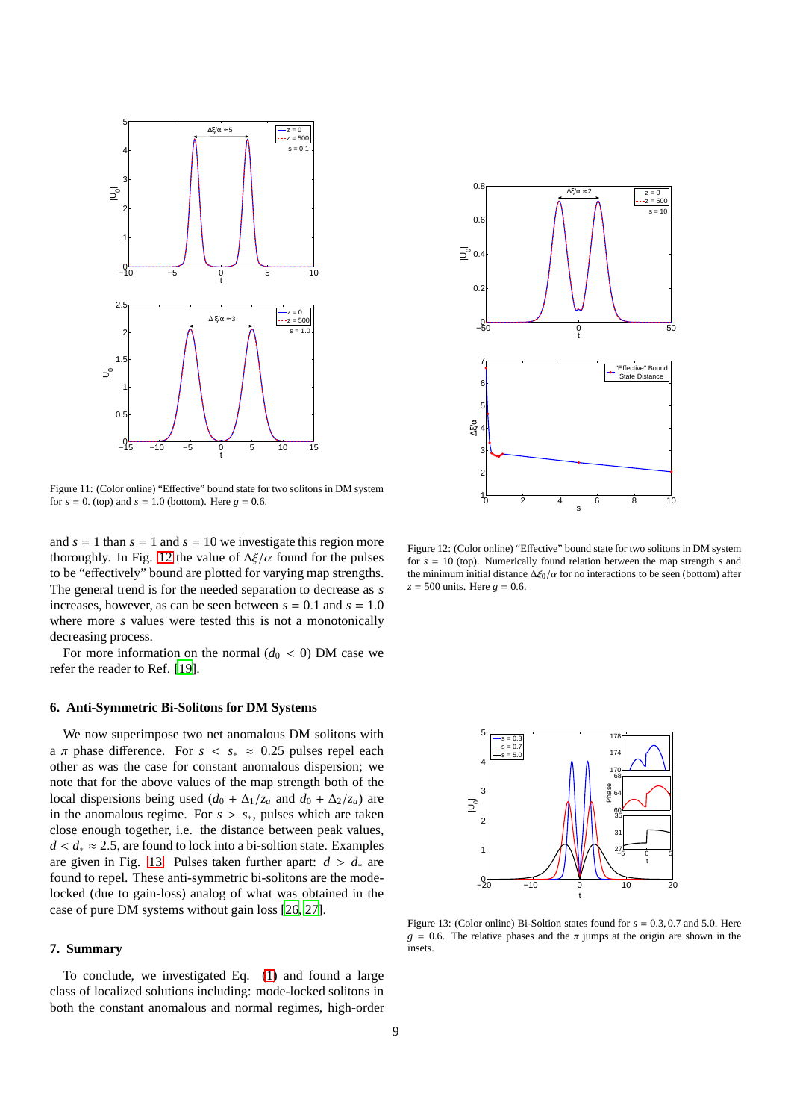

<span id="page-8-0"></span>Figure 11: (Color online) "Effective" bound state for two solitons in DM system for  $s = 0$ . (top) and  $s = 1.0$  (bottom). Here  $g = 0.6$ .

and  $s = 1$  than  $s = 1$  and  $s = 10$  we investigate this region more thoroughly. In Fig. [12](#page-8-1) the value of  $\Delta \xi/\alpha$  found for the pulses to be "effectively" bound are plotted for varying map strengths. The general trend is for the needed separation to decrease as *s* increases, however, as can be seen between  $s = 0.1$  and  $s = 1.0$ where more *s* values were tested this is not a monotonically decreasing process.

For more information on the normal  $(d_0 < 0)$  DM case we refer the reader to Ref. [\[19\]](#page-9-18).

## **6. Anti-Symmetric Bi-Solitons for DM Systems**

We now superimpose two net anomalous DM solitons with a  $\pi$  phase difference. For  $s < s_* \approx 0.25$  pulses repel each other as was the case for constant anomalous dispersion; we note that for the above values of the map strength both of the local dispersions being used  $(d_0 + \Delta_1/z_a)$  and  $d_0 + \Delta_2/z_a$  are in the anomalous regime. For  $s > s_{\ast}$ , pulses which are taken close enough together, i.e. the distance between peak values, *d* < *d*<sub>∗</sub> ≈ 2.5, are found to lock into a bi-soltion state. Examples are given in Fig. [13.](#page-8-2) Pulses taken further apart:  $d > d_*$  are found to repel. These anti-symmetric bi-solitons are the modelocked (due to gain-loss) analog of what was obtained in the case of pure DM systems without gain loss [\[26,](#page-9-25) [27\]](#page-9-26).

#### **7. Summary**

To conclude, we investigated Eq. [\(1\)](#page-1-0) and found a large class of localized solutions including: mode-locked solitons in both the constant anomalous and normal regimes, high-order



<span id="page-8-1"></span>Figure 12: (Color online) "Effective" bound state for two solitons in DM system for *s* = 10 (top). Numerically found relation between the map strength *s* and the minimum initial distance  $\Delta \xi_0/\alpha$  for no interactions to be seen (bottom) after *z* = 500 units. Here *g* = 0.6.



<span id="page-8-2"></span>Figure 13: (Color online) Bi-Soltion states found for *s* = 0.3, 0.7 and 5.0. Here  $g = 0.6$ . The relative phases and the  $\pi$  jumps at the origin are shown in the insets.